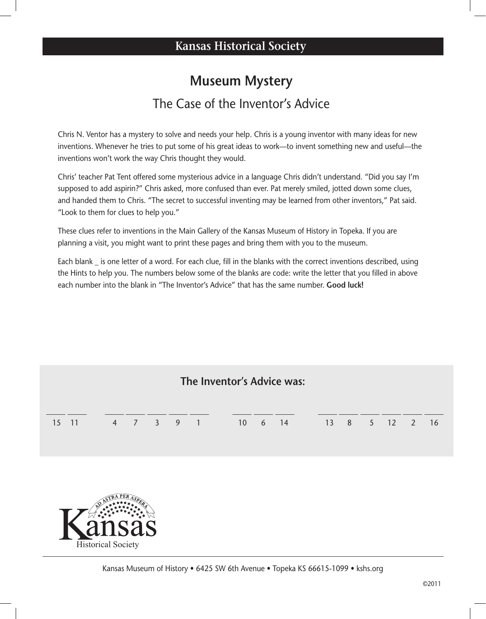## **Museum Mystery** The Case of the Inventor's Advice

Chris N. Ventor has a mystery to solve and needs your help. Chris is a young inventor with many ideas for new inventions. Whenever he tries to put some of his great ideas to work—to invent something new and useful—the inventions won't work the way Chris thought they would.

Chris' teacher Pat Tent offered some mysterious advice in a language Chris didn't understand. "Did you say I'm supposed to add aspirin?" Chris asked, more confused than ever. Pat merely smiled, jotted down some clues, and handed them to Chris. "The secret to successful inventing may be learned from other inventors," Pat said. "Look to them for clues to help you."

These clues refer to inventions in the Main Gallery of the Kansas Museum of History in Topeka. If you are planning a visit, you might want to print these pages and bring them with you to the museum.

Each blank \_ is one letter of a word. For each clue, fill in the blanks with the correct inventions described, using the Hints to help you. The numbers below some of the blanks are code: write the letter that you filled in above each number into the blank in "The Inventor's Advice" that has the same number. **Good luck!**

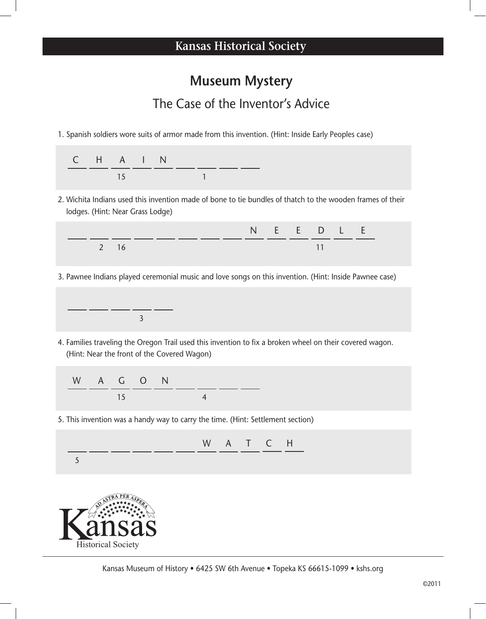## **Museum Mystery**

## The Case of the Inventor's Advice

1. Spanish soldiers wore suits of armor made from this invention. (Hint: Inside Early Peoples case)



2. Wichita Indians used this invention made of bone to tie bundles of thatch to the wooden frames of their lodges. (Hint: Near Grass Lodge)



3. Pawnee Indians played ceremonial music and love songs on this invention. (Hint: Inside Pawnee case)



Historical Society

4. Families traveling the Oregon Trail used this invention to fix a broken wheel on their covered wagon. (Hint: Near the front of the Covered Wagon)

| W A G O N |    |  |  |  |
|-----------|----|--|--|--|
|           | 15 |  |  |  |

5. This invention was a handy way to carry the time. (Hint: Settlement section)